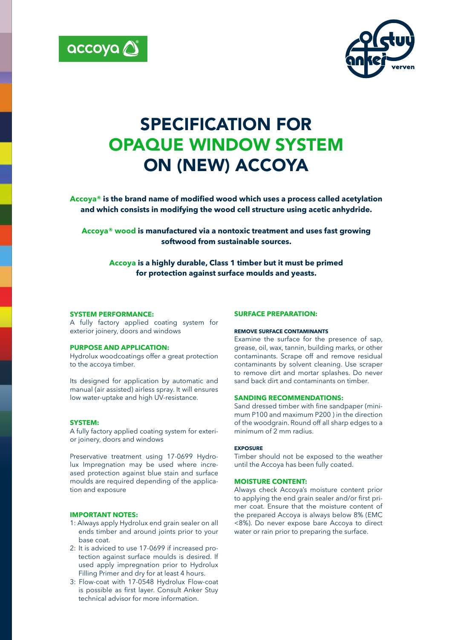



# SPECIFICATION FOR OPAQUE WINDOW SYSTEM ON (NEW) ACCOYA

**Accoya® is the brand name of modified wood which uses a process called acetylation and which consists in modifying the wood cell structure using acetic anhydride.**

**Accoya® wood is manufactured via a nontoxic treatment and uses fast growing softwood from sustainable sources.** 

**Accoya is a highly durable, Class 1 timber but it must be primed for protection against surface moulds and yeasts.**

# **SYSTEM PERFORMANCE:**

A fully factory applied coating system for exterior joinery, doors and windows

# **PURPOSE AND APPLICATION:**

Hydrolux woodcoatings offer a great protection to the accoya timber.

Its designed for application by automatic and manual (air assisted) airless spray. It will ensures low water-uptake and high UV-resistance.

# **SYSTEM:**

A fully factory applied coating system for exterior joinery, doors and windows

Preservative treatment using 17-0699 Hydrolux Impregnation may be used where increased protection against blue stain and surface moulds are required depending of the application and exposure

# **IMPORTANT NOTES:**

- 1: Always apply Hydrolux end grain sealer on all ends timber and around joints prior to your base coat.
- 2: It is adviced to use 17-0699 if increased protection against surface moulds is desired. If used apply impregnation prior to Hydrolux Filling Primer and dry for at least 4 hours.
- 3: Flow-coat with 17-0548 Hydrolux Flow-coat is possible as first layer. Consult Anker Stuy technical advisor for more information.

# **SURFACE PREPARATION:**

#### **REMOVE SURFACE CONTAMINANTS**

Examine the surface for the presence of sap, grease, oil, wax, tannin, building marks, or other contaminants. Scrape off and remove residual contaminants by solvent cleaning. Use scraper to remove dirt and mortar splashes. Do never sand back dirt and contaminants on timber.

#### **SANDING RECOMMENDATIONS:**

Sand dressed timber with fine sandpaper (minimum P100 and maximum P200 ) in the direction of the woodgrain. Round off all sharp edges to a minimum of 2 mm radius.

#### **EXPOSURE**

Timber should not be exposed to the weather until the Accoya has been fully coated.

# **MOISTURE CONTENT:**

Always check Accoya's moisture content prior to applying the end grain sealer and/or first primer coat. Ensure that the moisture content of the prepared Accoya is always below 8% (EMC <8%). Do never expose bare Accoya to direct water or rain prior to preparing the surface.